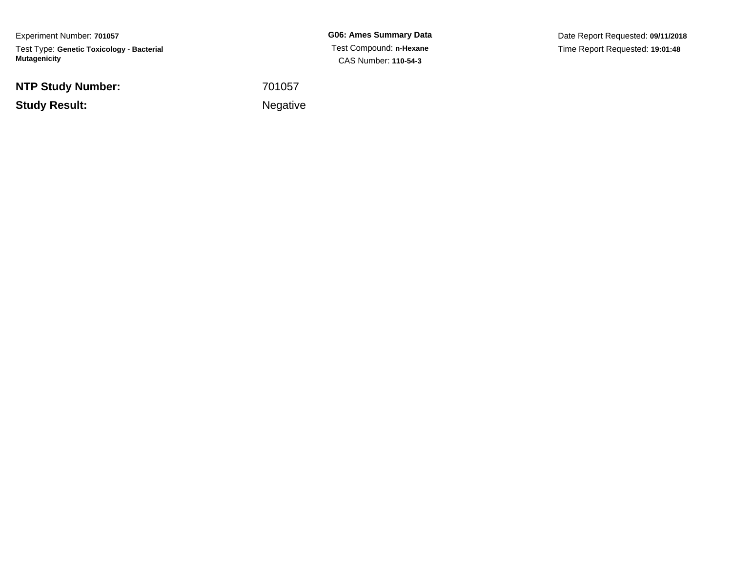Experiment Number: **701057**Test Type: **Genetic Toxicology - Bacterial Mutagenicity**

**NTP Study Number:**

**Example 2** is a set of the set of the Negative **Study Result:**

**G06: Ames Summary Data** Test Compound: **n-Hexane**CAS Number: **110-54-3**

Date Report Requested: **09/11/2018**Time Report Requested: **19:01:48**

<sup>701057</sup>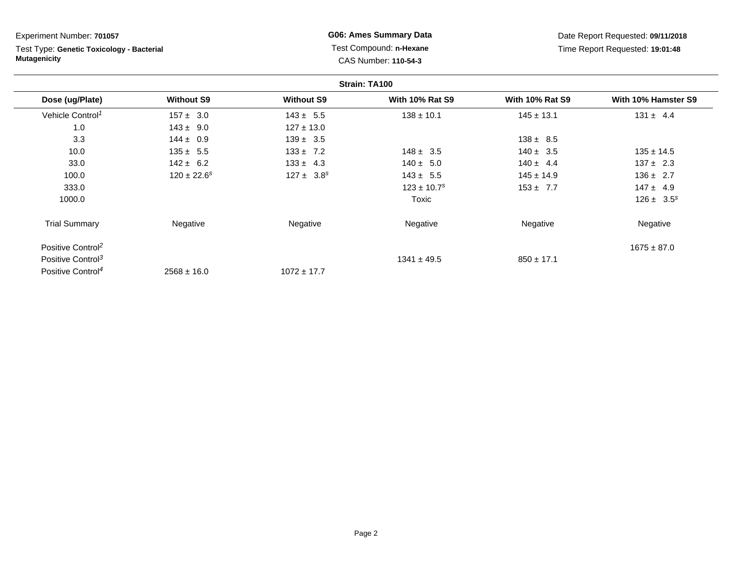Test Type: **Genetic Toxicology - Bacterial Mutagenicity**

**G06: Ames Summary Data** Test Compound: **n-Hexane**CAS Number: **110-54-3**

|                               |                   |                   | Strain: TA100               |                        |                     |
|-------------------------------|-------------------|-------------------|-----------------------------|------------------------|---------------------|
| Dose (ug/Plate)               | <b>Without S9</b> | <b>Without S9</b> | <b>With 10% Rat S9</b>      | <b>With 10% Rat S9</b> | With 10% Hamster S9 |
| Vehicle Control <sup>1</sup>  | $157 \pm 3.0$     | $143 \pm 5.5$     | $138 \pm 10.1$              | $145 \pm 13.1$         | $131 \pm 4.4$       |
| 1.0                           | $143 \pm 9.0$     | $127 \pm 13.0$    |                             |                        |                     |
| 3.3                           | $144 \pm 0.9$     | $139 \pm 3.5$     |                             | $138 \pm 8.5$          |                     |
| 10.0                          | $135 \pm 5.5$     | $133 \pm 7.2$     | $148 \pm 3.5$               | $140 \pm 3.5$          | $135 \pm 14.5$      |
| 33.0                          | $142 \pm 6.2$     | $133 \pm 4.3$     | $140 \pm 5.0$               | $140 \pm 4.4$          | $137 \pm 2.3$       |
| 100.0                         | $120 \pm 22.6^s$  | $127 \pm 3.8^s$   | $143 \pm 5.5$               | $145 \pm 14.9$         | $136 \pm 2.7$       |
| 333.0                         |                   |                   | $123 \pm 10.7$ <sup>s</sup> | $153 + 7.7$            | $147 \pm 4.9$       |
| 1000.0                        |                   |                   | Toxic                       |                        | $126 \pm 3.5^s$     |
| <b>Trial Summary</b>          | Negative          | Negative          | Negative                    | Negative               | Negative            |
| Positive Control <sup>2</sup> |                   |                   |                             |                        | $1675 \pm 87.0$     |
| Positive Control <sup>3</sup> |                   |                   | $1341 \pm 49.5$             | $850 \pm 17.1$         |                     |
| Positive Control <sup>4</sup> | $2568 \pm 16.0$   | $1072 \pm 17.7$   |                             |                        |                     |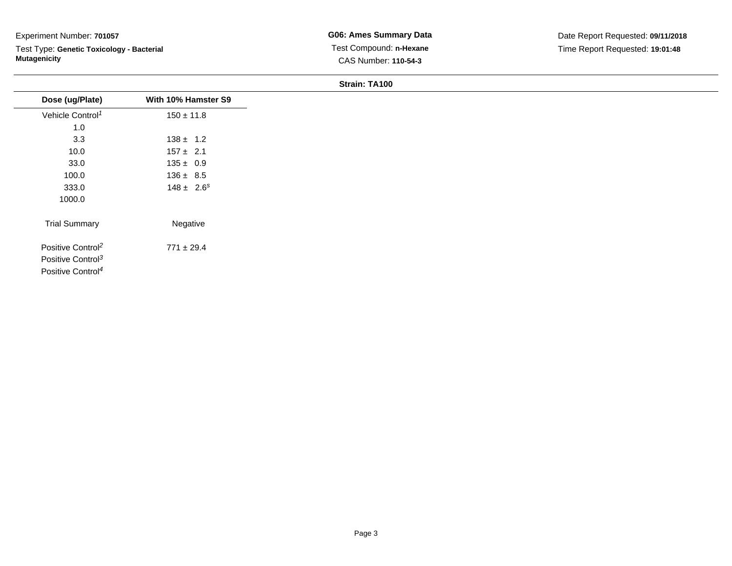Test Type: **Genetic Toxicology - Bacterial Mutagenicity**

### **Strain: TA100**

| Dose (ug/Plate)               | With 10% Hamster S9 |
|-------------------------------|---------------------|
| Vehicle Control <sup>1</sup>  | $150 \pm 11.8$      |
| 1.0                           |                     |
| 3.3                           | $138 \pm 1.2$       |
| 10.0                          | $157 \pm 2.1$       |
| 33.0                          | $135 \pm 0.9$       |
| 100.0                         | $136 \pm 8.5$       |
| 333.0                         | $148 \pm 2.6^s$     |
| 1000.0                        |                     |
| <b>Trial Summary</b>          | Negative            |
| Positive Control <sup>2</sup> | $771 \pm 29.4$      |
| Positive Control <sup>3</sup> |                     |
| Positive Control <sup>4</sup> |                     |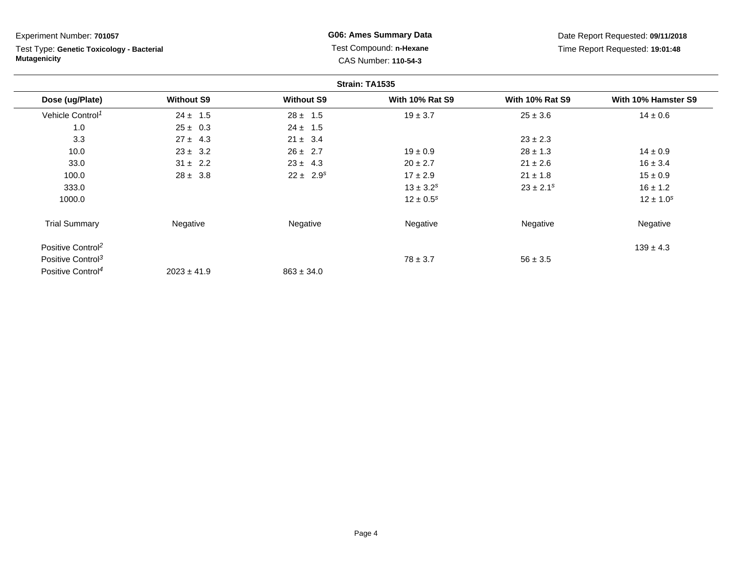Test Type: **Genetic Toxicology - Bacterial Mutagenicity**

**G06: Ames Summary Data** Test Compound: **n-Hexane**CAS Number: **110-54-3**

|                               |                   |                   | Strain: TA1535         |                        |                     |
|-------------------------------|-------------------|-------------------|------------------------|------------------------|---------------------|
| Dose (ug/Plate)               | <b>Without S9</b> | <b>Without S9</b> | <b>With 10% Rat S9</b> | <b>With 10% Rat S9</b> | With 10% Hamster S9 |
| Vehicle Control <sup>1</sup>  | $24 \pm 1.5$      | $28 \pm 1.5$      | $19 \pm 3.7$           | $25 \pm 3.6$           | $14 \pm 0.6$        |
| 1.0                           | $25 \pm 0.3$      | $24 \pm 1.5$      |                        |                        |                     |
| 3.3                           | $27 \pm 4.3$      | $21 \pm 3.4$      |                        | $23 \pm 2.3$           |                     |
| 10.0                          | $23 \pm 3.2$      | $26 \pm 2.7$      | $19 \pm 0.9$           | $28 \pm 1.3$           | $14 \pm 0.9$        |
| 33.0                          | $31 \pm 2.2$      | $23 \pm 4.3$      | $20 \pm 2.7$           | $21 \pm 2.6$           | $16 \pm 3.4$        |
| 100.0                         | $28 \pm 3.8$      | $22 \pm 2.9^s$    | $17 \pm 2.9$           | $21 \pm 1.8$           | $15 \pm 0.9$        |
| 333.0                         |                   |                   | $13 \pm 3.2^s$         | $23 \pm 2.1^s$         | $16 \pm 1.2$        |
| 1000.0                        |                   |                   | $12 \pm 0.5^s$         |                        | $12 \pm 1.0^s$      |
| <b>Trial Summary</b>          | Negative          | Negative          | Negative               | Negative               | Negative            |
| Positive Control <sup>2</sup> |                   |                   |                        |                        | $139 \pm 4.3$       |
| Positive Control <sup>3</sup> |                   |                   | $78 \pm 3.7$           | $56 \pm 3.5$           |                     |
| Positive Control <sup>4</sup> | $2023 \pm 41.9$   | $863 \pm 34.0$    |                        |                        |                     |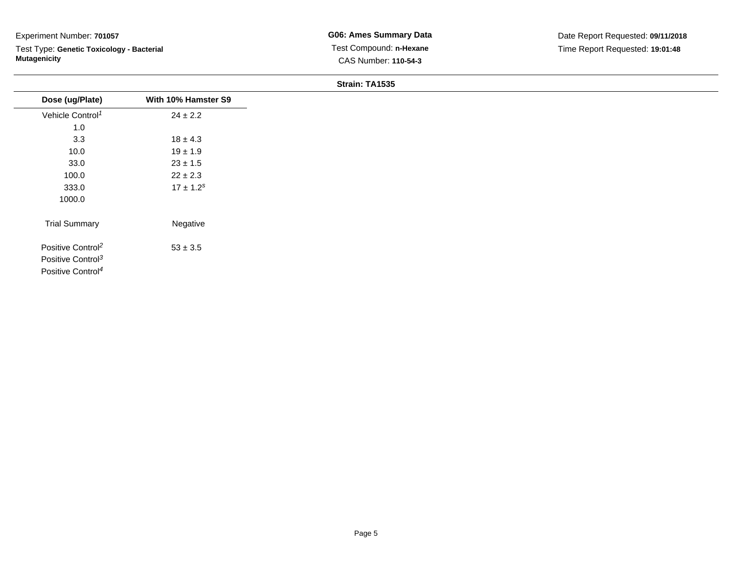Test Type: **Genetic Toxicology - Bacterial Mutagenicity**

### **Strain: TA1535**

| Dose (ug/Plate)               | With 10% Hamster S9 |
|-------------------------------|---------------------|
| Vehicle Control <sup>1</sup>  | $24 \pm 2.2$        |
| 1.0                           |                     |
| 3.3                           | $18 \pm 4.3$        |
| 10.0                          | $19 \pm 1.9$        |
| 33.0                          | $23 \pm 1.5$        |
| 100.0                         | $22 \pm 2.3$        |
| 333.0                         | $17 \pm 1.2^s$      |
| 1000.0                        |                     |
| <b>Trial Summary</b>          | Negative            |
| Positive Control <sup>2</sup> | $53 \pm 3.5$        |
| Positive Control <sup>3</sup> |                     |
| Positive Control <sup>4</sup> |                     |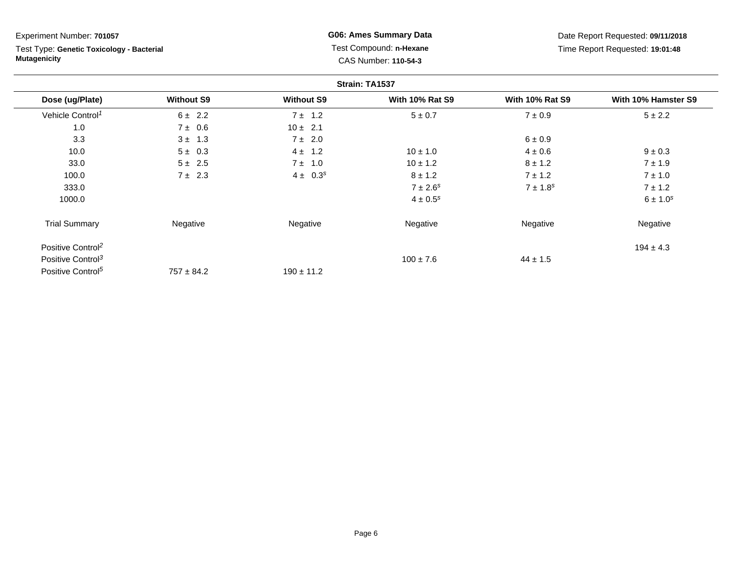Test Type: **Genetic Toxicology - Bacterial Mutagenicity**

**G06: Ames Summary Data** Test Compound: **n-Hexane**CAS Number: **110-54-3**

|                               |                   |                   | Strain: TA1537           |                        |                     |
|-------------------------------|-------------------|-------------------|--------------------------|------------------------|---------------------|
| Dose (ug/Plate)               | <b>Without S9</b> | <b>Without S9</b> | <b>With 10% Rat S9</b>   | <b>With 10% Rat S9</b> | With 10% Hamster S9 |
| Vehicle Control <sup>1</sup>  | $6 \pm 2.2$       | $7 \pm 1.2$       | $5 \pm 0.7$              | $7 \pm 0.9$            | $5 \pm 2.2$         |
| 1.0                           | $7 \pm 0.6$       | $10 \pm 2.1$      |                          |                        |                     |
| 3.3                           | $3 \pm 1.3$       | $7 \pm 2.0$       |                          | 6 ± 0.9                |                     |
| 10.0                          | $5 \pm 0.3$       | $4 \pm 1.2$       | $10 \pm 1.0$             | $4 \pm 0.6$            | $9 \pm 0.3$         |
| 33.0                          | $5 \pm 2.5$       | 7 ±<br>1.0        | $10 \pm 1.2$             | $8 \pm 1.2$            | $7 \pm 1.9$         |
| 100.0                         | $7 \pm 2.3$       | $4 \pm 0.3^{s}$   | $8 \pm 1.2$              | $7 \pm 1.2$            | $7 \pm 1.0$         |
| 333.0                         |                   |                   | $7 \pm 2.6$ <sup>s</sup> | $7 \pm 1.8^s$          | $7 \pm 1.2$         |
| 1000.0                        |                   |                   | $4 \pm 0.5^{s}$          |                        | $6 \pm 1.0^{s}$     |
| <b>Trial Summary</b>          | Negative          | Negative          | Negative                 | Negative               | Negative            |
| Positive Control <sup>2</sup> |                   |                   |                          |                        | $194 \pm 4.3$       |
| Positive Control <sup>3</sup> |                   |                   | $100 \pm 7.6$            | $44 \pm 1.5$           |                     |
| Positive Control <sup>5</sup> | $757 \pm 84.2$    | $190 \pm 11.2$    |                          |                        |                     |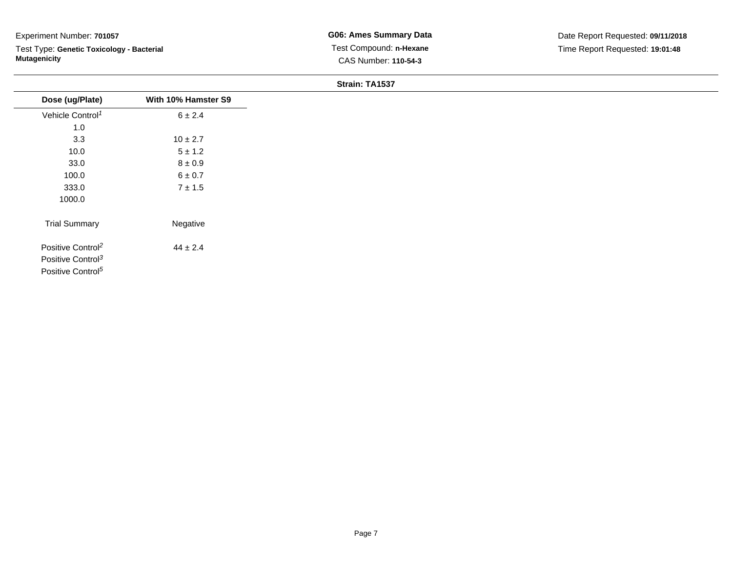Test Type: **Genetic Toxicology - Bacterial Mutagenicity**

### **Strain: TA1537**

| Dose (ug/Plate)               | With 10% Hamster S9 |
|-------------------------------|---------------------|
| Vehicle Control <sup>1</sup>  | 6 ± 2.4             |
| 1.0                           |                     |
| 3.3                           | $10 \pm 2.7$        |
| 10.0                          | $5 \pm 1.2$         |
| 33.0                          | $8\pm0.9$           |
| 100.0                         | $6\pm0.7$           |
| 333.0                         | $7 \pm 1.5$         |
| 1000.0                        |                     |
| <b>Trial Summary</b>          | Negative            |
| Positive Control <sup>2</sup> | $44 \pm 2.4$        |
| Positive Control <sup>3</sup> |                     |
| Positive Control <sup>5</sup> |                     |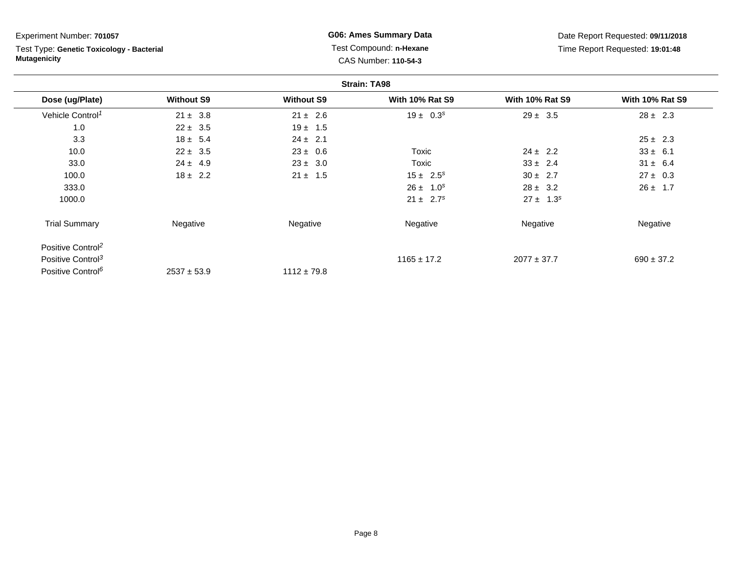Test Type: **Genetic Toxicology - Bacterial Mutagenicity**

**G06: Ames Summary Data** Test Compound: **n-Hexane**CAS Number: **110-54-3**

|                               |                   |                   | <b>Strain: TA98</b>    |                        |                        |
|-------------------------------|-------------------|-------------------|------------------------|------------------------|------------------------|
| Dose (ug/Plate)               | <b>Without S9</b> | <b>Without S9</b> | <b>With 10% Rat S9</b> | <b>With 10% Rat S9</b> | <b>With 10% Rat S9</b> |
| Vehicle Control <sup>1</sup>  | $21 \pm 3.8$      | $21 \pm 2.6$      | $19 \pm 0.3^s$         | $29 \pm 3.5$           | $28 \pm 2.3$           |
| 1.0                           | $22 \pm 3.5$      | $19 \pm 1.5$      |                        |                        |                        |
| 3.3                           | $18 \pm 5.4$      | $24 \pm 2.1$      |                        |                        | $25 \pm 2.3$           |
| 10.0                          | $22 \pm 3.5$      | $23 \pm 0.6$      | Toxic                  | $24 \pm 2.2$           | $33 \pm 6.1$           |
| 33.0                          | $24 \pm 4.9$      | $23 \pm 3.0$      | Toxic                  | $33 \pm 2.4$           | $31 \pm 6.4$           |
| 100.0                         | $18 \pm 2.2$      | $21 \pm 1.5$      | $15 \pm 2.5^s$         | $30 \pm 2.7$           | $27 \pm 0.3$           |
| 333.0                         |                   |                   | $26 \pm 1.0^s$         | $28 \pm 3.2$           | $26 \pm 1.7$           |
| 1000.0                        |                   |                   | $21 \pm 2.7^s$         | $27 \pm 1.3^s$         |                        |
| <b>Trial Summary</b>          | Negative          | Negative          | Negative               | Negative               | Negative               |
| Positive Control <sup>2</sup> |                   |                   |                        |                        |                        |
| Positive Control <sup>3</sup> |                   |                   | $1165 \pm 17.2$        | $2077 \pm 37.7$        | $690 \pm 37.2$         |
| Positive Control <sup>6</sup> | $2537 \pm 53.9$   | $1112 \pm 79.8$   |                        |                        |                        |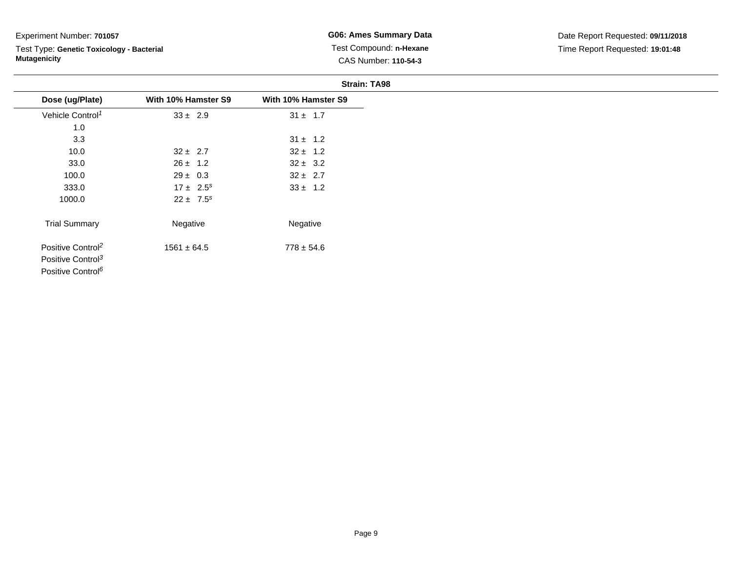Test Type: **Genetic Toxicology - Bacterial Mutagenicity**

**G06: Ames Summary Data** Test Compound: **n-Hexane**CAS Number: **110-54-3**

|                               |                     | <b>Strain: TA98</b> |
|-------------------------------|---------------------|---------------------|
| Dose (ug/Plate)               | With 10% Hamster S9 | With 10% Hamster S9 |
| Vehicle Control <sup>1</sup>  | $33 \pm 2.9$        | $31 \pm 1.7$        |
| 1.0                           |                     |                     |
| 3.3                           |                     | $31 \pm 1.2$        |
| 10.0                          | $32 \pm 2.7$        | $32 \pm 1.2$        |
| 33.0                          | $26 \pm 1.2$        | $32 \pm 3.2$        |
| 100.0                         | $29 \pm 0.3$        | $32 \pm 2.7$        |
| 333.0                         | $17 \pm 2.5^s$      | $33 \pm 1.2$        |
| 1000.0                        | $22 \pm 7.5^s$      |                     |
| <b>Trial Summary</b>          | Negative            | Negative            |
| Positive Control <sup>2</sup> | $1561 \pm 64.5$     | $778 \pm 54.6$      |
| Positive Control <sup>3</sup> |                     |                     |
| Positive Control <sup>6</sup> |                     |                     |